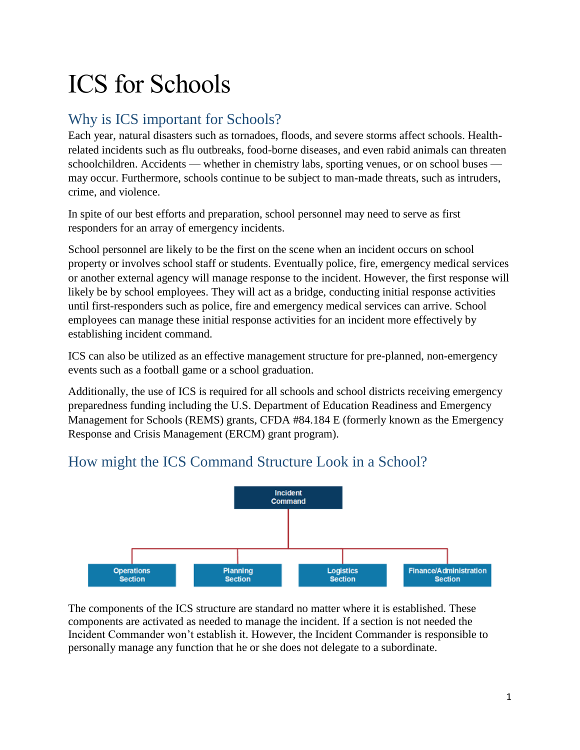# ICS for Schools

# Why is ICS important for Schools?

Each year, natural disasters such as tornadoes, floods, and severe storms affect schools. Healthrelated incidents such as flu outbreaks, food-borne diseases, and even rabid animals can threaten schoolchildren. Accidents — whether in chemistry labs, sporting venues, or on school buses may occur. Furthermore, schools continue to be subject to man-made threats, such as intruders, crime, and violence.

In spite of our best efforts and preparation, school personnel may need to serve as first responders for an array of emergency incidents.

School personnel are likely to be the first on the scene when an incident occurs on school property or involves school staff or students. Eventually police, fire, emergency medical services or another external agency will manage response to the incident. However, the first response will likely be by school employees. They will act as a bridge, conducting initial response activities until first-responders such as police, fire and emergency medical services can arrive. School employees can manage these initial response activities for an incident more effectively by establishing incident command.

ICS can also be utilized as an effective management structure for pre-planned, non-emergency events such as a football game or a school graduation.

Additionally, the use of ICS is required for all schools and school districts receiving emergency preparedness funding including the U.S. Department of Education Readiness and Emergency Management for Schools (REMS) grants, CFDA #84.184 E (formerly known as the Emergency Response and Crisis Management (ERCM) grant program).

# How might the ICS Command Structure Look in a School?



The components of the ICS structure are standard no matter where it is established. These components are activated as needed to manage the incident. If a section is not needed the Incident Commander won't establish it. However, the Incident Commander is responsible to personally manage any function that he or she does not delegate to a subordinate.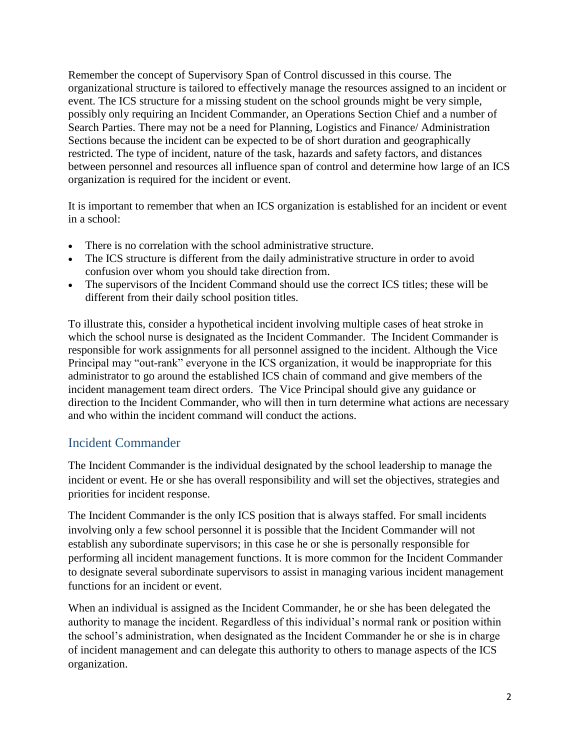Remember the concept of Supervisory Span of Control discussed in this course. The organizational structure is tailored to effectively manage the resources assigned to an incident or event. The ICS structure for a missing student on the school grounds might be very simple, possibly only requiring an Incident Commander, an Operations Section Chief and a number of Search Parties. There may not be a need for Planning, Logistics and Finance/ Administration Sections because the incident can be expected to be of short duration and geographically restricted. The type of incident, nature of the task, hazards and safety factors, and distances between personnel and resources all influence span of control and determine how large of an ICS organization is required for the incident or event.

It is important to remember that when an ICS organization is established for an incident or event in a school:

- There is no correlation with the school administrative structure.
- The ICS structure is different from the daily administrative structure in order to avoid confusion over whom you should take direction from.
- The supervisors of the Incident Command should use the correct ICS titles; these will be different from their daily school position titles.

To illustrate this, consider a hypothetical incident involving multiple cases of heat stroke in which the school nurse is designated as the Incident Commander. The Incident Commander is responsible for work assignments for all personnel assigned to the incident. Although the Vice Principal may "out-rank" everyone in the ICS organization, it would be inappropriate for this administrator to go around the established ICS chain of command and give members of the incident management team direct orders. The Vice Principal should give any guidance or direction to the Incident Commander, who will then in turn determine what actions are necessary and who within the incident command will conduct the actions.

#### Incident Commander

The Incident Commander is the individual designated by the school leadership to manage the incident or event. He or she has overall responsibility and will set the objectives, strategies and priorities for incident response.

The Incident Commander is the only ICS position that is always staffed. For small incidents involving only a few school personnel it is possible that the Incident Commander will not establish any subordinate supervisors; in this case he or she is personally responsible for performing all incident management functions. It is more common for the Incident Commander to designate several subordinate supervisors to assist in managing various incident management functions for an incident or event.

When an individual is assigned as the Incident Commander, he or she has been delegated the authority to manage the incident. Regardless of this individual's normal rank or position within the school's administration, when designated as the Incident Commander he or she is in charge of incident management and can delegate this authority to others to manage aspects of the ICS organization.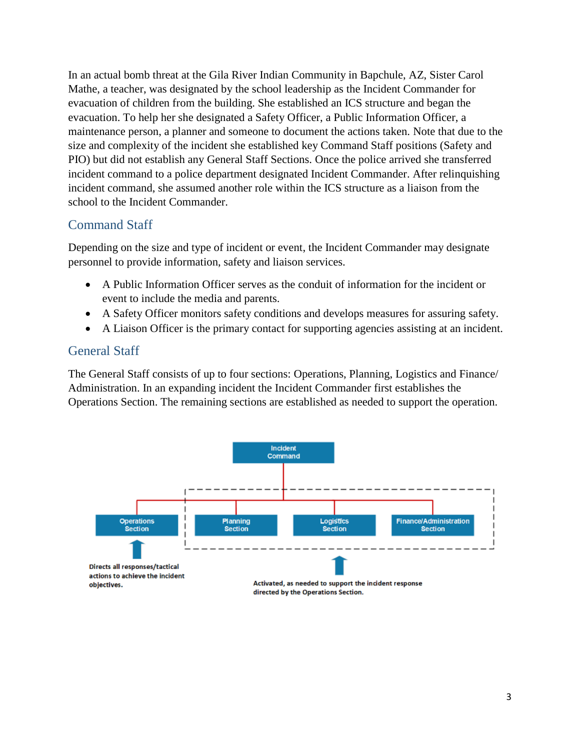In an actual bomb threat at the Gila River Indian Community in Bapchule, AZ, Sister Carol Mathe, a teacher, was designated by the school leadership as the Incident Commander for evacuation of children from the building. She established an ICS structure and began the evacuation. To help her she designated a Safety Officer, a Public Information Officer, a maintenance person, a planner and someone to document the actions taken. Note that due to the size and complexity of the incident she established key Command Staff positions (Safety and PIO) but did not establish any General Staff Sections. Once the police arrived she transferred incident command to a police department designated Incident Commander. After relinquishing incident command, she assumed another role within the ICS structure as a liaison from the school to the Incident Commander.

# Command Staff

Depending on the size and type of incident or event, the Incident Commander may designate personnel to provide information, safety and liaison services.

- A Public Information Officer serves as the conduit of information for the incident or event to include the media and parents.
- A Safety Officer monitors safety conditions and develops measures for assuring safety.
- A Liaison Officer is the primary contact for supporting agencies assisting at an incident.

# General Staff

The General Staff consists of up to four sections: Operations, Planning, Logistics and Finance/ Administration. In an expanding incident the Incident Commander first establishes the Operations Section. The remaining sections are established as needed to support the operation.

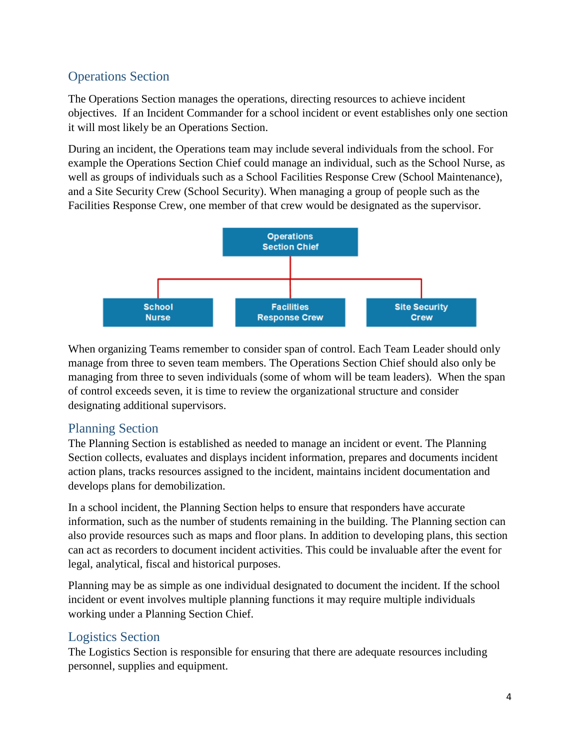# Operations Section

The Operations Section manages the operations, directing resources to achieve incident objectives. If an Incident Commander for a school incident or event establishes only one section it will most likely be an Operations Section.

During an incident, the Operations team may include several individuals from the school. For example the Operations Section Chief could manage an individual, such as the School Nurse, as well as groups of individuals such as a School Facilities Response Crew (School Maintenance), and a Site Security Crew (School Security). When managing a group of people such as the Facilities Response Crew, one member of that crew would be designated as the supervisor.



When organizing Teams remember to consider span of control. Each Team Leader should only manage from three to seven team members. The Operations Section Chief should also only be managing from three to seven individuals (some of whom will be team leaders). When the span of control exceeds seven, it is time to review the organizational structure and consider designating additional supervisors.

# Planning Section

The Planning Section is established as needed to manage an incident or event. The Planning Section collects, evaluates and displays incident information, prepares and documents incident action plans, tracks resources assigned to the incident, maintains incident documentation and develops plans for demobilization.

In a school incident, the Planning Section helps to ensure that responders have accurate information, such as the number of students remaining in the building. The Planning section can also provide resources such as maps and floor plans. In addition to developing plans, this section can act as recorders to document incident activities. This could be invaluable after the event for legal, analytical, fiscal and historical purposes.

Planning may be as simple as one individual designated to document the incident. If the school incident or event involves multiple planning functions it may require multiple individuals working under a Planning Section Chief.

# Logistics Section

The Logistics Section is responsible for ensuring that there are adequate resources including personnel, supplies and equipment.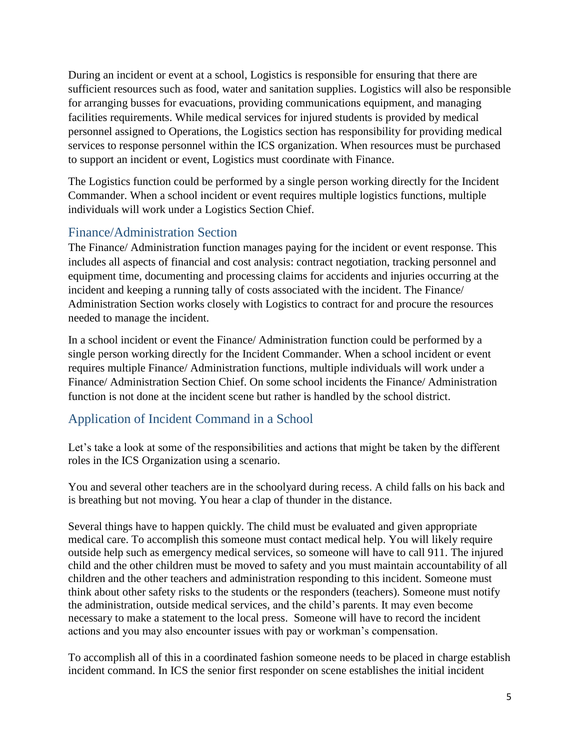During an incident or event at a school, Logistics is responsible for ensuring that there are sufficient resources such as food, water and sanitation supplies. Logistics will also be responsible for arranging busses for evacuations, providing communications equipment, and managing facilities requirements. While medical services for injured students is provided by medical personnel assigned to Operations, the Logistics section has responsibility for providing medical services to response personnel within the ICS organization. When resources must be purchased to support an incident or event, Logistics must coordinate with Finance.

The Logistics function could be performed by a single person working directly for the Incident Commander. When a school incident or event requires multiple logistics functions, multiple individuals will work under a Logistics Section Chief.

#### Finance/Administration Section

The Finance/ Administration function manages paying for the incident or event response. This includes all aspects of financial and cost analysis: contract negotiation, tracking personnel and equipment time, documenting and processing claims for accidents and injuries occurring at the incident and keeping a running tally of costs associated with the incident. The Finance/ Administration Section works closely with Logistics to contract for and procure the resources needed to manage the incident.

In a school incident or event the Finance/ Administration function could be performed by a single person working directly for the Incident Commander. When a school incident or event requires multiple Finance/ Administration functions, multiple individuals will work under a Finance/ Administration Section Chief. On some school incidents the Finance/ Administration function is not done at the incident scene but rather is handled by the school district.

# Application of Incident Command in a School

Let's take a look at some of the responsibilities and actions that might be taken by the different roles in the ICS Organization using a scenario.

You and several other teachers are in the schoolyard during recess. A child falls on his back and is breathing but not moving. You hear a clap of thunder in the distance.

Several things have to happen quickly. The child must be evaluated and given appropriate medical care. To accomplish this someone must contact medical help. You will likely require outside help such as emergency medical services, so someone will have to call 911. The injured child and the other children must be moved to safety and you must maintain accountability of all children and the other teachers and administration responding to this incident. Someone must think about other safety risks to the students or the responders (teachers). Someone must notify the administration, outside medical services, and the child's parents. It may even become necessary to make a statement to the local press. Someone will have to record the incident actions and you may also encounter issues with pay or workman's compensation.

To accomplish all of this in a coordinated fashion someone needs to be placed in charge establish incident command. In ICS the senior first responder on scene establishes the initial incident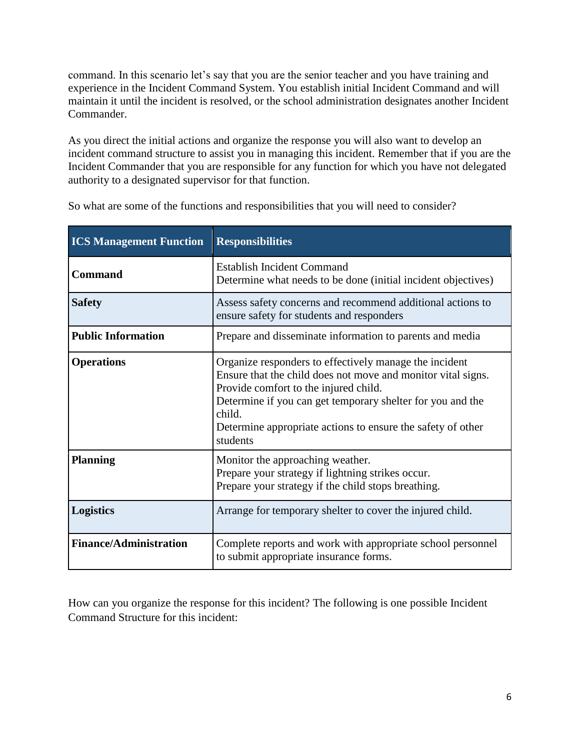command. In this scenario let's say that you are the senior teacher and you have training and experience in the Incident Command System. You establish initial Incident Command and will maintain it until the incident is resolved, or the school administration designates another Incident Commander.

As you direct the initial actions and organize the response you will also want to develop an incident command structure to assist you in managing this incident. Remember that if you are the Incident Commander that you are responsible for any function for which you have not delegated authority to a designated supervisor for that function.

| <b>ICS Management Function</b> | <b>Responsibilities</b>                                                                                                                                                                                                                                                                                            |
|--------------------------------|--------------------------------------------------------------------------------------------------------------------------------------------------------------------------------------------------------------------------------------------------------------------------------------------------------------------|
| <b>Command</b>                 | <b>Establish Incident Command</b><br>Determine what needs to be done (initial incident objectives)                                                                                                                                                                                                                 |
| <b>Safety</b>                  | Assess safety concerns and recommend additional actions to<br>ensure safety for students and responders                                                                                                                                                                                                            |
| <b>Public Information</b>      | Prepare and disseminate information to parents and media                                                                                                                                                                                                                                                           |
| <b>Operations</b>              | Organize responders to effectively manage the incident<br>Ensure that the child does not move and monitor vital signs.<br>Provide comfort to the injured child.<br>Determine if you can get temporary shelter for you and the<br>child.<br>Determine appropriate actions to ensure the safety of other<br>students |
| <b>Planning</b>                | Monitor the approaching weather.<br>Prepare your strategy if lightning strikes occur.<br>Prepare your strategy if the child stops breathing.                                                                                                                                                                       |
| <b>Logistics</b>               | Arrange for temporary shelter to cover the injured child.                                                                                                                                                                                                                                                          |
| <b>Finance/Administration</b>  | Complete reports and work with appropriate school personnel<br>to submit appropriate insurance forms.                                                                                                                                                                                                              |

So what are some of the functions and responsibilities that you will need to consider?

How can you organize the response for this incident? The following is one possible Incident Command Structure for this incident: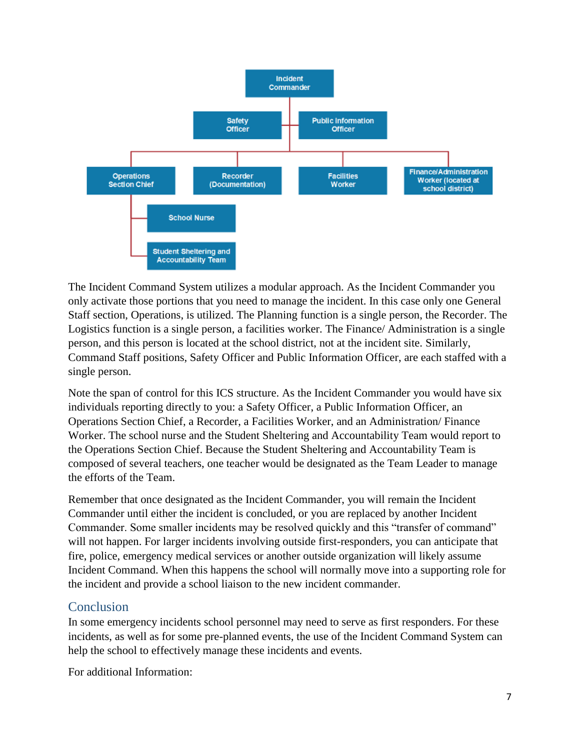

The Incident Command System utilizes a modular approach. As the Incident Commander you only activate those portions that you need to manage the incident. In this case only one General Staff section, Operations, is utilized. The Planning function is a single person, the Recorder. The Logistics function is a single person, a facilities worker. The Finance/ Administration is a single person, and this person is located at the school district, not at the incident site. Similarly, Command Staff positions, Safety Officer and Public Information Officer, are each staffed with a single person.

Note the span of control for this ICS structure. As the Incident Commander you would have six individuals reporting directly to you: a Safety Officer, a Public Information Officer, an Operations Section Chief, a Recorder, a Facilities Worker, and an Administration/ Finance Worker. The school nurse and the Student Sheltering and Accountability Team would report to the Operations Section Chief. Because the Student Sheltering and Accountability Team is composed of several teachers, one teacher would be designated as the Team Leader to manage the efforts of the Team.

Remember that once designated as the Incident Commander, you will remain the Incident Commander until either the incident is concluded, or you are replaced by another Incident Commander. Some smaller incidents may be resolved quickly and this "transfer of command" will not happen. For larger incidents involving outside first-responders, you can anticipate that fire, police, emergency medical services or another outside organization will likely assume Incident Command. When this happens the school will normally move into a supporting role for the incident and provide a school liaison to the new incident commander.

# Conclusion

In some emergency incidents school personnel may need to serve as first responders. For these incidents, as well as for some pre-planned events, the use of the Incident Command System can help the school to effectively manage these incidents and events.

For additional Information: